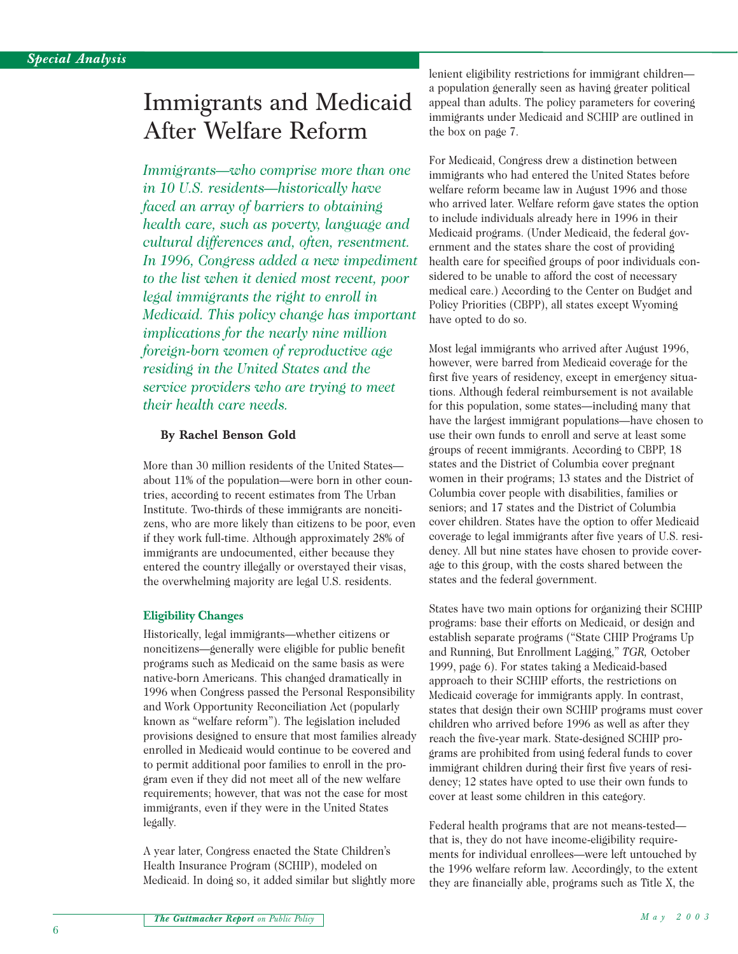# Immigrants and Medicaid After Welfare Reform

*Immigrants—who comprise more than one in 10 U.S. residents—historically have faced an array of barriers to obtaining health care, such as poverty, language and cultural differences and, often, resentment. In 1996, Congress added a new impediment to the list when it denied most recent, poor legal immigrants the right to enroll in Medicaid. This policy change has important implications for the nearly nine million foreign-born women of reproductive age residing in the United States and the service providers who are trying to meet their health care needs.*

#### **By Rachel Benson Gold**

More than 30 million residents of the United States about 11% of the population—were born in other countries, according to recent estimates from The Urban Institute. Two-thirds of these immigrants are noncitizens, who are more likely than citizens to be poor, even if they work full-time. Although approximately 28% of immigrants are undocumented, either because they entered the country illegally or overstayed their visas, the overwhelming majority are legal U.S. residents.

### **Eligibility Changes**

Historically, legal immigrants—whether citizens or noncitizens—generally were eligible for public benefit programs such as Medicaid on the same basis as were native-born Americans. This changed dramatically in 1996 when Congress passed the Personal Responsibility and Work Opportunity Reconciliation Act (popularly known as "welfare reform"). The legislation included provisions designed to ensure that most families already enrolled in Medicaid would continue to be covered and to permit additional poor families to enroll in the program even if they did not meet all of the new welfare requirements; however, that was not the case for most immigrants, even if they were in the United States legally.

A year later, Congress enacted the State Children's Health Insurance Program (SCHIP), modeled on Medicaid. In doing so, it added similar but slightly more

lenient eligibility restrictions for immigrant children a population generally seen as having greater political appeal than adults. The policy parameters for covering immigrants under Medicaid and SCHIP are outlined in the box on page 7.

For Medicaid, Congress drew a distinction between immigrants who had entered the United States before welfare reform became law in August 1996 and those who arrived later. Welfare reform gave states the option to include individuals already here in 1996 in their Medicaid programs. (Under Medicaid, the federal government and the states share the cost of providing health care for specified groups of poor individuals considered to be unable to afford the cost of necessary medical care.) According to the Center on Budget and Policy Priorities (CBPP), all states except Wyoming have opted to do so.

Most legal immigrants who arrived after August 1996, however, were barred from Medicaid coverage for the first five years of residency, except in emergency situations. Although federal reimbursement is not available for this population, some states—including many that have the largest immigrant populations—have chosen to use their own funds to enroll and serve at least some groups of recent immigrants. According to CBPP, 18 states and the District of Columbia cover pregnant women in their programs; 13 states and the District of Columbia cover people with disabilities, families or seniors; and 17 states and the District of Columbia cover children. States have the option to offer Medicaid coverage to legal immigrants after five years of U.S. residency. All but nine states have chosen to provide coverage to this group, with the costs shared between the states and the federal government.

States have two main options for organizing their SCHIP programs: base their efforts on Medicaid, or design and establish separate programs ("State CHIP Programs Up and Running, But Enrollment Lagging," *TGR,* October 1999, page 6). For states taking a Medicaid-based approach to their SCHIP efforts, the restrictions on Medicaid coverage for immigrants apply. In contrast, states that design their own SCHIP programs must cover children who arrived before 1996 as well as after they reach the five-year mark. State-designed SCHIP programs are prohibited from using federal funds to cover immigrant children during their first five years of residency; 12 states have opted to use their own funds to cover at least some children in this category.

Federal health programs that are not means-tested that is, they do not have income-eligibility requirements for individual enrollees—were left untouched by the 1996 welfare reform law. Accordingly, to the extent they are financially able, programs such as Title X, the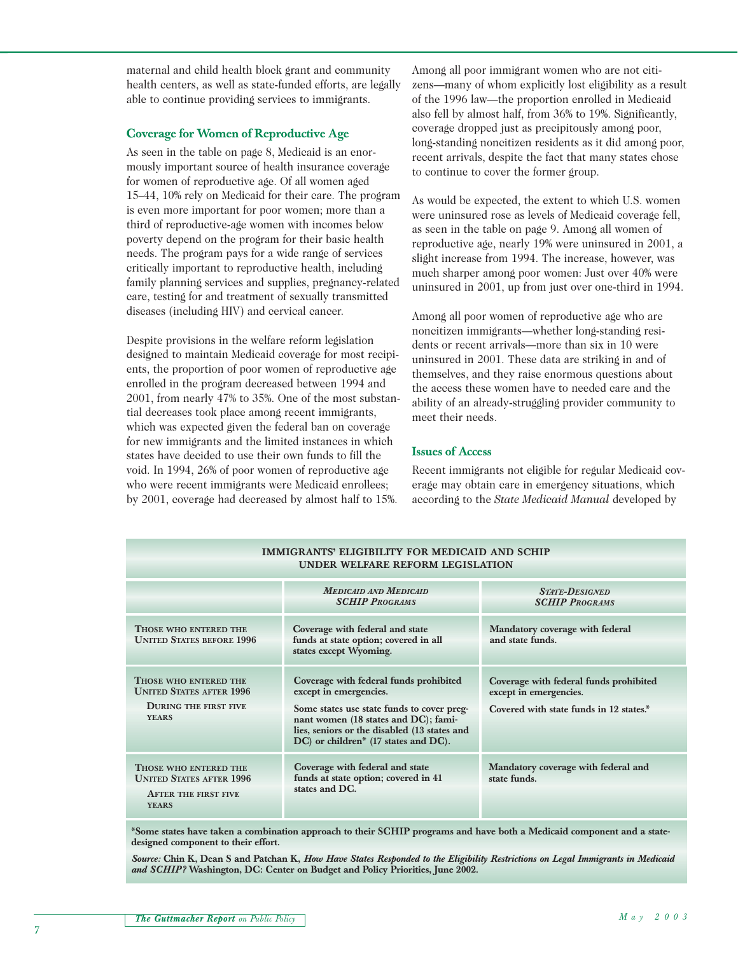maternal and child health block grant and community health centers, as well as state-funded efforts, are legally able to continue providing services to immigrants.

## **Coverage for Women of Reproductive Age**

As seen in the table on page 8, Medicaid is an enormously important source of health insurance coverage for women of reproductive age. Of all women aged 15–44, 10% rely on Medicaid for their care. The program is even more important for poor women; more than a third of reproductive-age women with incomes below poverty depend on the program for their basic health needs. The program pays for a wide range of services critically important to reproductive health, including family planning services and supplies, pregnancy-related care, testing for and treatment of sexually transmitted diseases (including HIV) and cervical cancer.

Despite provisions in the welfare reform legislation designed to maintain Medicaid coverage for most recipients, the proportion of poor women of reproductive age enrolled in the program decreased between 1994 and 2001, from nearly 47% to 35%. One of the most substantial decreases took place among recent immigrants, which was expected given the federal ban on coverage for new immigrants and the limited instances in which states have decided to use their own funds to fill the void. In 1994, 26% of poor women of reproductive age who were recent immigrants were Medicaid enrollees; by 2001, coverage had decreased by almost half to 15%.

Among all poor immigrant women who are not citizens—many of whom explicitly lost eligibility as a result of the 1996 law—the proportion enrolled in Medicaid also fell by almost half, from 36% to 19%. Significantly, coverage dropped just as precipitously among poor, long-standing noncitizen residents as it did among poor, recent arrivals, despite the fact that many states chose to continue to cover the former group.

As would be expected, the extent to which U.S. women were uninsured rose as levels of Medicaid coverage fell, as seen in the table on page 9. Among all women of reproductive age, nearly 19% were uninsured in 2001, a slight increase from 1994. The increase, however, was much sharper among poor women: Just over 40% were uninsured in 2001, up from just over one-third in 1994.

Among all poor women of reproductive age who are noncitizen immigrants—whether long-standing residents or recent arrivals—more than six in 10 were uninsured in 2001. These data are striking in and of themselves, and they raise enormous questions about the access these women have to needed care and the ability of an already-struggling provider community to meet their needs.

## **Issues of Access**

Recent immigrants not eligible for regular Medicaid coverage may obtain care in emergency situations, which according to the *State Medicaid Manual* developed by

| IMMIGRANTS' ELIGIBILITY FOR MEDICAID AND SCHIP<br>UNDER WELFARE REFORM LEGISLATION                       |                                                                                                                                                                                                                                                |                                                                                                             |  |  |  |  |
|----------------------------------------------------------------------------------------------------------|------------------------------------------------------------------------------------------------------------------------------------------------------------------------------------------------------------------------------------------------|-------------------------------------------------------------------------------------------------------------|--|--|--|--|
|                                                                                                          | <b>MEDICAID AND MEDICAID</b><br><b>SCHIP PROGRAMS</b>                                                                                                                                                                                          | <b>STATE-DESIGNED</b><br><b>SCHIP PROGRAMS</b>                                                              |  |  |  |  |
| THOSE WHO ENTERED THE<br><b>UNITED STATES BEFORE 1996</b>                                                | Coverage with federal and state<br>funds at state option; covered in all<br>states except Wyoming.                                                                                                                                             | Mandatory coverage with federal<br>and state funds.                                                         |  |  |  |  |
| THOSE WHO ENTERED THE<br><b>UNITED STATES AFTER 1996</b><br><b>DURING THE FIRST FIVE</b><br><b>YEARS</b> | Coverage with federal funds prohibited<br>except in emergencies.<br>Some states use state funds to cover preg-<br>nant women (18 states and DC); fami-<br>lies, seniors or the disabled (13 states and<br>DC) or children* (17 states and DC). | Coverage with federal funds prohibited<br>except in emergencies.<br>Covered with state funds in 12 states.* |  |  |  |  |
| THOSE WHO ENTERED THE<br><b>UNITED STATES AFTER 1996</b><br><b>AFTER THE FIRST FIVE</b><br><b>YEARS</b>  | Coverage with federal and state<br>funds at state option; covered in 41<br>states and DC.                                                                                                                                                      | Mandatory coverage with federal and<br>state funds.                                                         |  |  |  |  |

**\*Some states have taken a combination approach to their SCHIP programs and have both a Medicaid component and a statedesigned component to their effort.**

*Source:* **Chin K, Dean S and Patchan K,** *How Have States Responded to the Eligibility Restrictions on Legal Immigrants in Medicaid and SCHIP?* **Washington, DC: Center on Budget and Policy Priorities, June 2002.**

#### *The Guttmacher Report on Public Policy*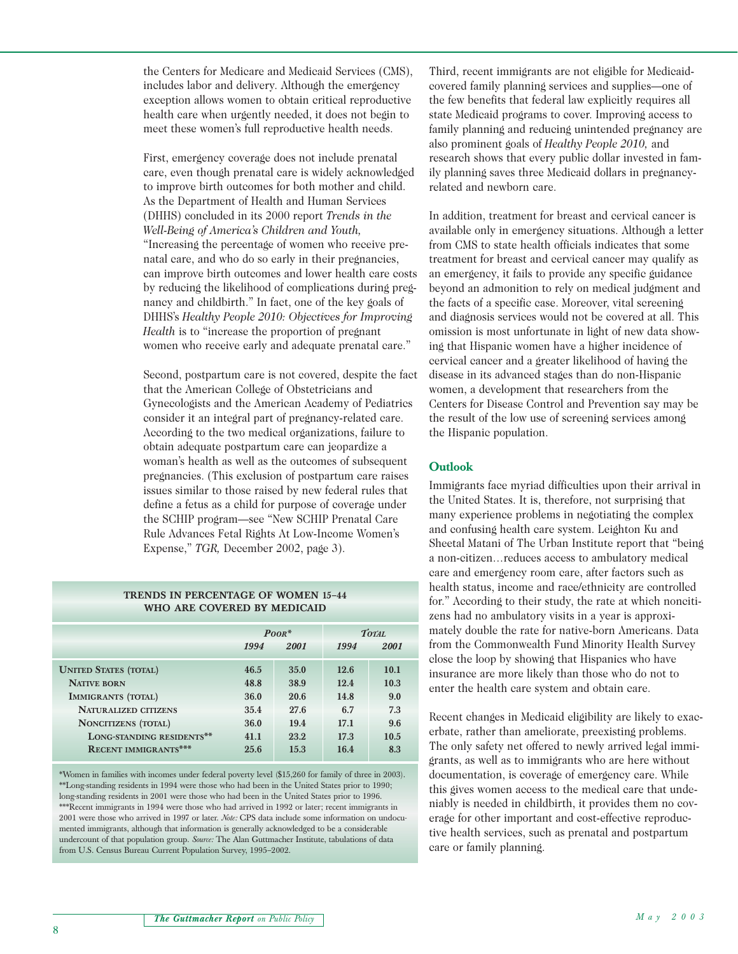the Centers for Medicare and Medicaid Services (CMS), includes labor and delivery. Although the emergency exception allows women to obtain critical reproductive health care when urgently needed, it does not begin to meet these women's full reproductive health needs.

First, emergency coverage does not include prenatal care, even though prenatal care is widely acknowledged to improve birth outcomes for both mother and child. As the Department of Health and Human Services (DHHS) concluded in its 2000 report *Trends in the Well-Being of America's Children and Youth,* "Increasing the percentage of women who receive prenatal care, and who do so early in their pregnancies, can improve birth outcomes and lower health care costs by reducing the likelihood of complications during pregnancy and childbirth." In fact, one of the key goals of DHHS's *Healthy People 2010: Objectives for Improving Health* is to "increase the proportion of pregnant women who receive early and adequate prenatal care."

Second, postpartum care is not covered, despite the fact that the American College of Obstetricians and Gynecologists and the American Academy of Pediatrics consider it an integral part of pregnancy-related care. According to the two medical organizations, failure to obtain adequate postpartum care can jeopardize a woman's health as well as the outcomes of subsequent pregnancies. (This exclusion of postpartum care raises issues similar to those raised by new federal rules that define a fetus as a child for purpose of coverage under the SCHIP program—see "New SCHIP Prenatal Care Rule Advances Fetal Rights At Low-Income Women's Expense," *TGR,* December 2002, page 3).

#### **TRENDS IN PERCENTAGE OF WOMEN 15–44 WHO ARE COVERED BY MEDICAID**

|                              | $P$ OOR <sup>*</sup> |      | TOTAL. |      |
|------------------------------|----------------------|------|--------|------|
|                              | 1994                 | 2001 | 1994   | 2001 |
| <b>UNITED STATES (TOTAL)</b> | 46.5                 | 35.0 | 12.6   | 10.1 |
| <b>NATIVE BORN</b>           | 48.8                 | 38.9 | 12.4   | 10.3 |
| IMMIGRANTS (TOTAL)           | 36.0                 | 20.6 | 14.8   | 9.0  |
| <b>NATURALIZED CITIZENS</b>  | 35.4                 | 27.6 | 6.7    | 7.3  |
| <b>NONCITIZENS (TOTAL)</b>   | 36.0                 | 19.4 | 17.1   | 9.6  |
| LONG-STANDING RESIDENTS**    | 41.1                 | 23.2 | 17.3   | 10.5 |
| <b>RECENT IMMIGRANTS***</b>  | 25.6                 | 15.3 | 16.4   | 8.3  |

\*Women in families with incomes under federal poverty level (\$15,260 for family of three in 2003). \*\*Long-standing residents in 1994 were those who had been in the United States prior to 1990; long-standing residents in 2001 were those who had been in the United States prior to 1996. \*\*\*Recent immigrants in 1994 were those who had arrived in 1992 or later; recent immigrants in 2001 were those who arrived in 1997 or later. *Note:* CPS data include some information on undocumented immigrants, although that information is generally acknowledged to be a considerable undercount of that population group. *Source:* The Alan Guttmacher Institute, tabulations of data from U.S. Census Bureau Current Population Survey, 1995–2002.

Third, recent immigrants are not eligible for Medicaidcovered family planning services and supplies—one of the few benefits that federal law explicitly requires all state Medicaid programs to cover. Improving access to family planning and reducing unintended pregnancy are also prominent goals of *Healthy People 2010,* and research shows that every public dollar invested in family planning saves three Medicaid dollars in pregnancyrelated and newborn care.

In addition, treatment for breast and cervical cancer is available only in emergency situations. Although a letter from CMS to state health officials indicates that some treatment for breast and cervical cancer may qualify as an emergency, it fails to provide any specific guidance beyond an admonition to rely on medical judgment and the facts of a specific case. Moreover, vital screening and diagnosis services would not be covered at all. This omission is most unfortunate in light of new data showing that Hispanic women have a higher incidence of cervical cancer and a greater likelihood of having the disease in its advanced stages than do non-Hispanic women, a development that researchers from the Centers for Disease Control and Prevention say may be the result of the low use of screening services among the Hispanic population.

## **Outlook**

Immigrants face myriad difficulties upon their arrival in the United States. It is, therefore, not surprising that many experience problems in negotiating the complex and confusing health care system. Leighton Ku and Sheetal Matani of The Urban Institute report that "being a non-citizen…reduces access to ambulatory medical care and emergency room care, after factors such as health status, income and race/ethnicity are controlled for." According to their study, the rate at which noncitizens had no ambulatory visits in a year is approximately double the rate for native-born Americans. Data from the Commonwealth Fund Minority Health Survey close the loop by showing that Hispanics who have insurance are more likely than those who do not to enter the health care system and obtain care.

Recent changes in Medicaid eligibility are likely to exacerbate, rather than ameliorate, preexisting problems. The only safety net offered to newly arrived legal immigrants, as well as to immigrants who are here without documentation, is coverage of emergency care. While this gives women access to the medical care that undeniably is needed in childbirth, it provides them no coverage for other important and cost-effective reproductive health services, such as prenatal and postpartum care or family planning.